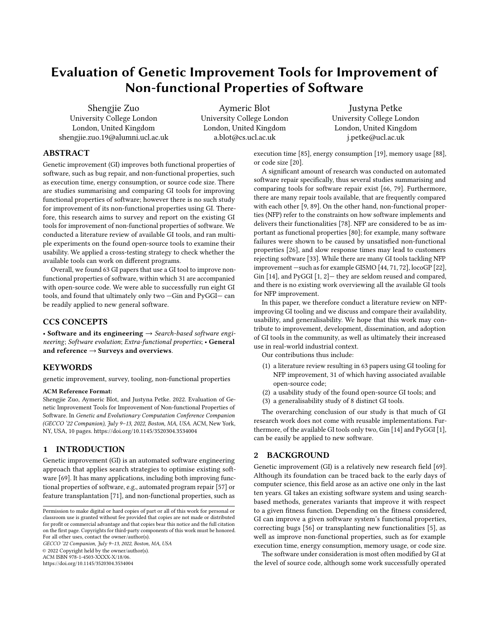# Evaluation of Genetic Improvement Tools for Improvement of Non-functional Properties of Software

Shengjie Zuo University College London London, United Kingdom shengjie.zuo.19@alumni.ucl.ac.uk

[Aymeric Blot](https://orcid.org/0000-0003-0485-5279) University College London London, United Kingdom a.blot@cs.ucl.ac.uk

[Justyna Petke](https://orcid.org/0000-0002-7833-6044) University College London London, United Kingdom j.petke@ucl.ac.uk

# ABSTRACT

Genetic improvement (GI) improves both functional properties of software, such as bug repair, and non-functional properties, such as execution time, energy consumption, or source code size. There are studies summarising and comparing GI tools for improving functional properties of software; however there is no such study for improvement of its non-functional properties using GI. Therefore, this research aims to survey and report on the existing GI tools for improvement of non-functional properties of software. We conducted a literature review of available GI tools, and ran multiple experiments on the found open-source tools to examine their usability. We applied a cross-testing strategy to check whether the available tools can work on different programs.

Overall, we found 63 GI papers that use a GI tool to improve nonfunctional properties of software, within which 31 are accompanied with open-source code. We were able to successfully run eight GI tools, and found that ultimately only two —Gin and PyGGI— can be readily applied to new general software.

# CCS CONCEPTS

• Software and its engineering  $\rightarrow$  Search-based software engineering; Software evolution; Extra-functional properties; • General and reference  $\rightarrow$  Surveys and overviews.

#### **KEYWORDS**

genetic improvement, survey, tooling, non-functional properties

#### ACM Reference Format:

Shengjie Zuo, Aymeric Blot, and Justyna Petke. 2022. Evaluation of Genetic Improvement Tools for Improvement of Non-functional Properties of Software. In Genetic and Evolutionary Computation Conference Companion (GECCO '22 Companion), July 9–13, 2022, Boston, MA, USA. ACM, New York, NY, USA, [10](#page-9-0) pages.<https://doi.org/10.1145/3520304.3534004>

## 1 INTRODUCTION

Genetic improvement (GI) is an automated software engineering approach that applies search strategies to optimise existing software [\[69\]](#page-9-1). It has many applications, including both improving functional properties of software, e.g., automated program repair [\[57\]](#page-9-2) or feature transplantation [\[71\]](#page-9-3), and non-functional properties, such as

GECCO '22 Companion, July 9–13, 2022, Boston, MA, USA

© 2022 Copyright held by the owner/author(s).

ACM ISBN 978-1-4503-XXXX-X/18/06.

<https://doi.org/10.1145/3520304.3534004>

execution time [\[85\]](#page-9-4), energy consumption [\[19\]](#page-8-0), memory usage [\[88\]](#page-9-5), or code size [\[20\]](#page-8-1).

A significant amount of research was conducted on automated software repair specifically, thus several studies summarising and comparing tools for software repair exist [\[66,](#page-9-6) [79\]](#page-9-7). Furthermore, there are many repair tools available, that are frequently compared with each other [\[9,](#page-8-2) [89\]](#page-9-8). On the other hand, non-functional properties (NFP) refer to the constraints on how software implements and delivers their functionalities [\[78\]](#page-9-9). NFP are considered to be as important as functional properties [\[80\]](#page-9-10); for example, many software failures were shown to be caused by unsatisfied non-functional properties [\[26\]](#page-8-3), and slow response times may lead to customers rejecting software [\[33\]](#page-8-4). While there are many GI tools tackling NFP improvement —such as for example GISMO [\[44,](#page-8-5) [71,](#page-9-3) [72\]](#page-9-11), locoGP [\[22\]](#page-8-6), Gin [\[14\]](#page-8-7), and PyGGI [\[1,](#page-7-0) [2\]](#page-8-8)— they are seldom reused and compared, and there is no existing work overviewing all the available GI tools for NFP improvement.

In this paper, we therefore conduct a literature review on NFPimproving GI tooling and we discuss and compare their availability, usability, and generalisability. We hope that this work may contribute to improvement, development, dissemination, and adoption of GI tools in the community, as well as ultimately their increased use in real-world industrial context.

Our contributions thus include:

- (1) a literature review resulting in 63 papers using GI tooling for NFP improvement, 31 of which having associated available open-source code;
- (2) a usability study of the found open-source GI tools; and
- (3) a generalisability study of 8 distinct GI tools.

The overarching conclusion of our study is that much of GI research work does not come with reusable implementations. Furthermore, of the available GI tools only two, Gin [\[14\]](#page-8-7) and PyGGI [\[1\]](#page-7-0), can be easily be applied to new software.

#### 2 BACKGROUND

Genetic improvement (GI) is a relatively new research field [\[69\]](#page-9-1). Although its foundation can be traced back to the early days of computer science, this field arose as an active one only in the last ten years. GI takes an existing software system and using searchbased methods, generates variants that improve it with respect to a given fitness function. Depending on the fitness considered, GI can improve a given software system's functional properties, correcting bugs [\[56\]](#page-9-12) or transplanting new functionalities [\[5\]](#page-8-9), as well as improve non-functional properties, such as for example execution time, energy consumption, memory usage, or code size.

The software under consideration is most often modified by GI at the level of source code, although some work successfully operated

Permission to make digital or hard copies of part or all of this work for personal or classroom use is granted without fee provided that copies are not made or distributed for profit or commercial advantage and that copies bear this notice and the full citation on the first page. Copyrights for third-party components of this work must be honored. For all other uses, contact the owner/author(s).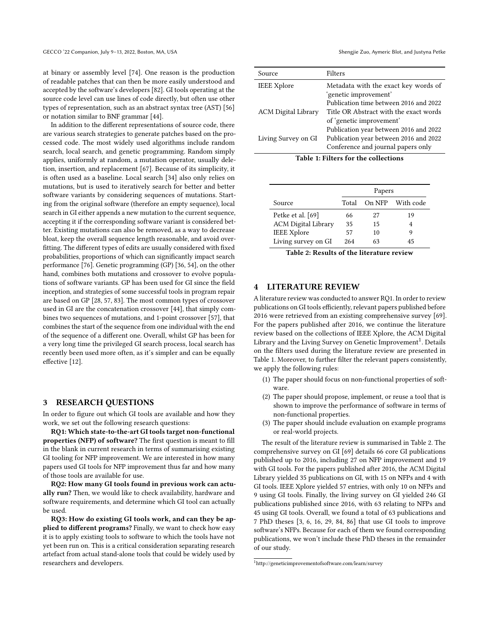at binary or assembly level [\[74\]](#page-9-13). One reason is the production of readable patches that can then be more easily understood and accepted by the software's developers [\[82\]](#page-9-14). GI tools operating at the source code level can use lines of code directly, but often use other types of representation, such as an abstract syntax tree (AST) [\[56\]](#page-9-12) or notation similar to BNF grammar [\[44\]](#page-8-5).

In addition to the different representations of source code, there are various search strategies to generate patches based on the processed code. The most widely used algorithms include random search, local search, and genetic programming. Random simply applies, uniformly at random, a mutation operator, usually deletion, insertion, and replacement [\[67\]](#page-9-15). Because of its simplicity, it is often used as a baseline. Local search [\[34\]](#page-8-10) also only relies on mutations, but is used to iteratively search for better and better software variants by considering sequences of mutations. Starting from the original software (therefore an empty sequence), local search in GI either appends a new mutation to the current sequence, accepting it if the corresponding software variant is considered better. Existing mutations can also be removed, as a way to decrease bloat, keep the overall sequence length reasonable, and avoid overfitting. The different types of edits are usually considered with fixed probabilities, proportions of which can significantly impact search performance [\[76\]](#page-9-16). Genetic programming (GP) [\[36,](#page-8-11) [54\]](#page-9-17), on the other hand, combines both mutations and crossover to evolve populations of software variants. GP has been used for GI since the field inception, and strategies of some successful tools in program repair are based on GP [\[28,](#page-8-12) [57,](#page-9-2) [83\]](#page-9-18). The most common types of crossover used in GI are the concatenation crossover [\[44\]](#page-8-5), that simply combines two sequences of mutations, and 1-point crossover [\[57\]](#page-9-2), that combines the start of the sequence from one individual with the end of the sequence of a different one. Overall, whilst GP has been for a very long time the privileged GI search process, local search has recently been used more often, as it's simpler and can be equally effective [\[12\]](#page-8-13).

#### 3 RESEARCH QUESTIONS

In order to figure out which GI tools are available and how they work, we set out the following research questions:

RQ1: Which state-to-the-art GI tools target non-functional properties (NFP) of software? The first question is meant to fill in the blank in current research in terms of summarising existing GI tooling for NFP improvement. We are interested in how many papers used GI tools for NFP improvement thus far and how many of those tools are available for use.

RQ2: How many GI tools found in previous work can actually run? Then, we would like to check availability, hardware and software requirements, and determine which GI tool can actually be used.

RQ3: How do existing GI tools work, and can they be applied to different programs? Finally, we want to check how easy it is to apply existing tools to software to which the tools have not yet been run on. This is a critical consideration separating research artefact from actual stand-alone tools that could be widely used by researchers and developers.

<span id="page-1-1"></span>

| Source                     | Filters                                                                                                                |
|----------------------------|------------------------------------------------------------------------------------------------------------------------|
| <b>IEEE Xplore</b>         | Metadata with the exact key words of<br>'genetic improvement'<br>Publication time between 2016 and 2022                |
| <b>ACM</b> Digital Library | Title OR Abstract with the exact words<br>of 'genetic improvement'                                                     |
| Living Survey on GI        | Publication year between 2016 and 2022<br>Publication year between 2016 and 2022<br>Conference and journal papers only |

Table 1: Filters for the collections

<span id="page-1-2"></span>

|                            | Papers |    |                  |
|----------------------------|--------|----|------------------|
| Source                     | Total  |    | On NFP With code |
| Petke et al. [69]          | 66     | 27 | 19               |
| <b>ACM</b> Digital Library | 35     | 15 | 4                |
| <b>IEEE Xplore</b>         | 57     | 10 | 9                |
| Living survey on GI        | 264    | 63 | 45               |

Table 2: Results of the literature review

#### <span id="page-1-3"></span>**LITERATURE REVIEW**

A literature review was conducted to answer RQ1. In order to review publications on GI tools efficiently, relevant papers published before 2016 were retrieved from an existing comprehensive survey [\[69\]](#page-9-1). For the papers published after 2016, we continue the literature review based on the collections of IEEE Xplore, the ACM Digital Library and the Living Survey on Genetic Improvement $^{\rm 1}$  $^{\rm 1}$  $^{\rm 1}$ . Details on the filters used during the literature review are presented in [Table 1.](#page-1-1) Moreover, to further filter the relevant papers consistently, we apply the following rules:

- (1) The paper should focus on non-functional properties of software.
- (2) The paper should propose, implement, or reuse a tool that is shown to improve the performance of software in terms of non-functional properties.
- (3) The paper should include evaluation on example programs or real-world projects.

The result of the literature review is summarised in [Table 2.](#page-1-2) The comprehensive survey on GI [\[69\]](#page-9-1) details 66 core GI publications published up to 2016, including 27 on NFP improvement and 19 with GI tools. For the papers published after 2016, the ACM Digital Library yielded 35 publications on GI, with 15 on NFPs and 4 with GI tools. IEEE Xplore yielded 57 entries, with only 10 on NFPs and 9 using GI tools. Finally, the living survey on GI yielded 246 GI publications published since 2016, with 63 relating to NFPs and 45 using GI tools. Overall, we found a total of 63 publications and 7 PhD theses [\[3,](#page-8-14) [6,](#page-8-15) [16,](#page-8-16) [29,](#page-8-17) [84,](#page-9-19) [86\]](#page-9-20) that use GI tools to improve software's NFPs. Because for each of them we found corresponding publications, we won't include these PhD theses in the remainder of our study.

<span id="page-1-0"></span><sup>1</sup><http://geneticimprovementofsoftware.com/learn/survey>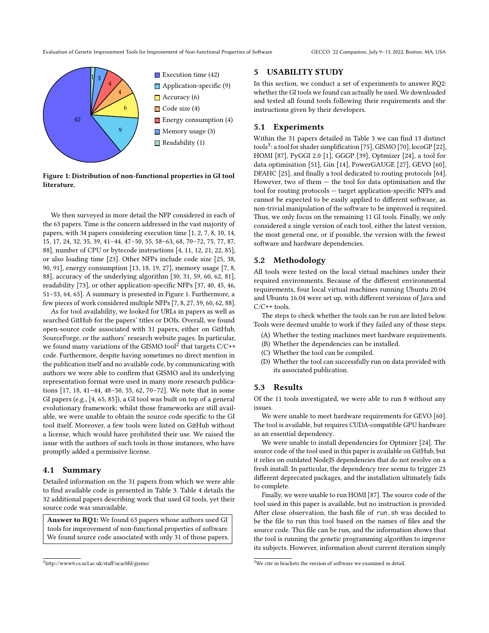Evaluation of Genetic Improvement Tools for Improvement of Non-functional Properties of Software GECCO '22 Companion, July 9–13, 2022, Boston, MA, USA

<span id="page-2-0"></span>

Figure 1: Distribution of non-functional properties in GI tool literature.

We then surveyed in more detail the NFP considered in each of the 63 papers. Time is the concern addressed in the vast majority of papers, with 34 papers considering execution time [\[1,](#page-7-0) [2,](#page-8-8) [7,](#page-8-18) [8,](#page-8-19) [10,](#page-8-20) [14,](#page-8-7) [15,](#page-8-21) [17,](#page-8-22) [24,](#page-8-23) [32,](#page-8-24) [35,](#page-8-25) [39,](#page-8-26) [41](#page-8-27)[–44,](#page-8-5) [47](#page-8-28)[–50,](#page-9-21) [55,](#page-9-22) [58–](#page-9-23)[63,](#page-9-24) [68,](#page-9-25) [70–](#page-9-26)[72,](#page-9-11) [75,](#page-9-27) [77,](#page-9-28) [87,](#page-9-29) [88\]](#page-9-5), number of CPU or bytecode instructions [\[4,](#page-8-29) [11,](#page-8-30) [12,](#page-8-13) [21,](#page-8-31) [22,](#page-8-6) [85\]](#page-9-4), or also loading time [\[23\]](#page-8-32). Other NFPs include code size [\[25,](#page-8-33) [38,](#page-8-34) [90,](#page-9-30) [91\]](#page-9-31), energy consumption [\[13,](#page-8-35) [18,](#page-8-36) [19,](#page-8-0) [27\]](#page-8-37), memory usage [\[7,](#page-8-18) [8,](#page-8-19) [88\]](#page-9-5), accuracy of the underlying algorithm [\[30,](#page-8-38) [31,](#page-8-39) [59,](#page-9-32) [60,](#page-9-33) [62,](#page-9-34) [81\]](#page-9-35), readability [\[73\]](#page-9-36), or other application-specific NFPs [\[37,](#page-8-40) [40,](#page-8-41) [45,](#page-8-42) [46,](#page-8-43) [51](#page-9-37)[–53,](#page-9-38) [64,](#page-9-39) [65\]](#page-9-40). A summary is presented in [Figure 1.](#page-2-0) Furthermore, a few pieces of work considered multiple NFPs [\[7,](#page-8-18) [8,](#page-8-19) [27,](#page-8-37) [59,](#page-9-32) [60,](#page-9-33) [62,](#page-9-34) [88\]](#page-9-5).

As for tool availability, we looked for URLs in papers as well as searched GitHub for the papers' titles or DOIs. Overall, we found open-source code associated with 31 papers, either on GitHub, SourceForge, or the authors' research website pages. In particular, we found many variations of the GISMO tool<sup>[2](#page-2-1)</sup> that targets  $C/C++$ code. Furthermore, despite having sometimes no direct mention in the publication itself and no available code, by communicating with authors we were able to confirm that GISMO and its underlying representation format were used in many more research publications [\[17,](#page-8-22) [18,](#page-8-36) [41–](#page-8-27)[44,](#page-8-5) [48](#page-9-41)[–50,](#page-9-21) [55,](#page-9-22) [62,](#page-9-34) [70–](#page-9-26)[72\]](#page-9-11). We note that in some GI papers (e.g., [\[4,](#page-8-29) [65,](#page-9-40) [85\]](#page-9-4)), a GI tool was built on top of a general evolutionary framework; whilst those frameworks are still available, we were unable to obtain the source code specific to the GI tool itself. Moreover, a few tools were listed on GitHub without a license, which would have prohibited their use. We raised the issue with the authors of such tools in those instances, who have promptly added a permissive license.

#### 4.1 Summary

Detailed information on the 31 papers from which we were able to find available code is presented in [Table 3.](#page-3-0) [Table 4](#page-4-0) details the 32 additional papers describing work that used GI tools, yet their source code was unavailable.

Answer to RQ1: We found 63 papers whose authors used GI tools for improvement of non-functional properties of software. We found source code associated with only 31 of those papers.

#### <span id="page-2-3"></span>5 USABILITY STUDY

In this section, we conduct a set of experiments to answer RQ2: whether the GI tools we found can actually be used. We downloaded and tested all found tools following their requirements and the instructions given by their developers.

## 5.1 Experiments

Within the 31 papers detailed in [Table 3](#page-3-0) we can find 13 distinct tools<sup>[3](#page-2-2)</sup>: a tool for shader simplification [\[75\]](#page-9-27), GISMO [\[70\]](#page-9-26), locoGP [\[22\]](#page-8-6), HOMI [\[87\]](#page-9-29), PyGGI 2.0 [\[1\]](#page-7-0), GGGP [\[39\]](#page-8-26), Optmizer [\[24\]](#page-8-23), a tool for data optimisation [\[51\]](#page-9-37), Gin [\[14\]](#page-8-7), PowerGAUGE [\[27\]](#page-8-37), GEVO [\[60\]](#page-9-33), DFAHC [\[25\]](#page-8-33), and finally a tool dedicated to routing protocols [\[64\]](#page-9-39). However, two of them  $-$  the tool for data optimisation and the tool for routing protocols — target application-specific NFPs and cannot be expected to be easily applied to different software, as non-trivial manipulation of the software to be improved is required. Thus, we only focus on the remaining 11 GI tools. Finally, we only considered a single version of each tool, either the latest version, the most general one, or if possible, the version with the fewest software and hardware dependencies.

## 5.2 Methodology

All tools were tested on the local virtual machines under their required environments. Because of the different environmental requirements, four local virtual machines running Ubuntu 20.04 and Ubuntu 16.04 were set up, with different versions of Java and C/C++ tools.

The steps to check whether the tools can be run are listed below. Tools were deemed unable to work if they failed any of those steps.

- (A) Whether the testing machines meet hardware requirements.
- (B) Whether the dependencies can be installed.
- (C) Whether the tool can be compiled.
- (D) Whether the tool can successfully run on data provided with its associated publication.

## 5.3 Results

Of the 11 tools investigated, we were able to run 8 without any issues.

We were unable to meet hardware requirements for GEVO [\[60\]](#page-9-33). The tool is available, but requires CUDA-compatible GPU hardware as an essential dependency.

We were unable to install dependencies for Optmizer [\[24\]](#page-8-23). The source code of the tool used in this paper is available on GitHub, but it relies on outdated NodeJS dependencies that do not resolve on a fresh install. In particular, the dependency tree seems to trigger 23 different deprecated packages, and the installation ultimately fails to complete.

Finally, we were unable to run HOMI [\[87\]](#page-9-29). The source code of the tool used in this paper is available, but no instruction is provided. After close observation, the bash file of run.sh was decided to be the file to run this tool based on the names of files and the source code. This file can be run, and the information shows that the tool is running the genetic programming algorithm to improve its subjects. However, information about current iteration simply

<span id="page-2-1"></span><sup>2</sup>http://www0.cs.ucl.ac.uk/staff/ucacbbl/gismo/

<span id="page-2-2"></span> $3$ We cite in brackets the version of software we examined in detail.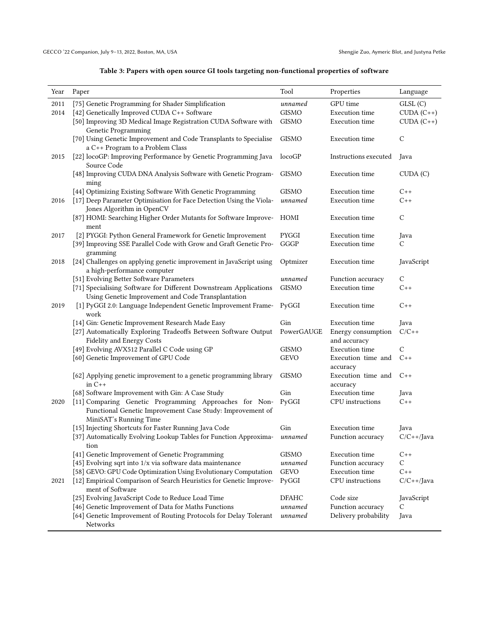| Table 3: Papers with open source GI tools targeting non-functional properties of software |  |
|-------------------------------------------------------------------------------------------|--|
|                                                                                           |  |

<span id="page-3-0"></span>

| Year | Paper                                                                                                                                         | Tool         | Properties                         | Language                     |
|------|-----------------------------------------------------------------------------------------------------------------------------------------------|--------------|------------------------------------|------------------------------|
| 2011 | [75] Genetic Programming for Shader Simplification                                                                                            | unnamed      | GPU time                           | GLSL(C)                      |
| 2014 | [42] Genetically Improved CUDA C++ Software                                                                                                   | <b>GISMO</b> | <b>Execution</b> time              | $\text{CUDA}$ $(\text{C++})$ |
|      | [50] Improving 3D Medical Image Registration CUDA Software with<br>Genetic Programming                                                        | <b>GISMO</b> | <b>Execution</b> time              | $CUDA (C++)$                 |
|      | [70] Using Genetic Improvement and Code Transplants to Specialise<br>a C++ Program to a Problem Class                                         | <b>GISMO</b> | <b>Execution</b> time              | $\mathcal{C}$                |
| 2015 | [22] locoGP: Improving Performance by Genetic Programming Java<br>Source Code                                                                 | locoGP       | Instructions executed              | Java                         |
|      | [48] Improving CUDA DNA Analysis Software with Genetic Program-<br>ming                                                                       | <b>GISMO</b> | Execution time                     | $\text{CUDA}$ $(C)$          |
|      | [44] Optimizing Existing Software With Genetic Programming                                                                                    | <b>GISMO</b> | <b>Execution</b> time              | $C++$                        |
| 2016 | [17] Deep Parameter Optimisation for Face Detection Using the Viola-<br>Jones Algorithm in OpenCV                                             | unnamed      | <b>Execution</b> time              | C++                          |
|      | [87] HOMI: Searching Higher Order Mutants for Software Improve-<br>ment                                                                       | HOMI         | <b>Execution</b> time              | $\mathsf C$                  |
| 2017 | [2] PYGGI: Python General Framework for Genetic Improvement                                                                                   | PYGGI        | <b>Execution</b> time              | Java                         |
|      | [39] Improving SSE Parallel Code with Grow and Graft Genetic Pro-<br>gramming                                                                 | GGGP         | <b>Execution</b> time              | C                            |
| 2018 | [24] Challenges on applying genetic improvement in JavaScript using<br>a high-performance computer                                            | Optmizer     | <b>Execution</b> time              | JavaScript                   |
|      | [51] Evolving Better Software Parameters                                                                                                      | unnamed      | Function accuracy                  | $\mathsf{C}$                 |
|      | [71] Specialising Software for Different Downstream Applications<br>Using Genetic Improvement and Code Transplantation                        | <b>GISMO</b> | Execution time                     | C++                          |
| 2019 | [1] PyGGI 2.0: Language Independent Genetic Improvement Frame-<br>work                                                                        | PyGGI        | Execution time                     | $C++$                        |
|      | [14] Gin: Genetic Improvement Research Made Easy                                                                                              | Gin          | <b>Execution</b> time              | Java                         |
|      | [27] Automatically Exploring Tradeoffs Between Software Output<br>Fidelity and Energy Costs                                                   | PowerGAUGE   | Energy consumption<br>and accuracy | $C/C++$                      |
|      | [49] Evolving AVX512 Parallel C Code using GP                                                                                                 | <b>GISMO</b> | <b>Execution</b> time              | $\mathcal{C}$                |
|      | [60] Genetic Improvement of GPU Code                                                                                                          | <b>GEVO</b>  | Execution time and<br>accuracy     | $C++$                        |
|      | [62] Applying genetic improvement to a genetic programming library<br>in $C_{++}$                                                             | <b>GISMO</b> | Execution time and C++<br>accuracy |                              |
|      | [68] Software Improvement with Gin: A Case Study                                                                                              | Gin          | <b>Execution</b> time              | Java                         |
| 2020 | [11] Comparing Genetic Programming Approaches for Non-<br>Functional Genetic Improvement Case Study: Improvement of<br>MiniSAT's Running Time | PyGGI        | CPU instructions                   | $C++$                        |
|      | [15] Injecting Shortcuts for Faster Running Java Code                                                                                         | Gin          | <b>Execution</b> time              | Java                         |
|      | [37] Automatically Evolving Lookup Tables for Function Approxima-<br>tion                                                                     | unnamed      | Function accuracy                  | $C/C++$ /Java                |
|      | [41] Genetic Improvement of Genetic Programming                                                                                               | <b>GISMO</b> | <b>Execution</b> time              | $C++$                        |
|      | [45] Evolving sqrt into $1/x$ via software data maintenance                                                                                   | unnamed      | Function accuracy                  | $\mathsf{C}$                 |
|      | [58] GEVO: GPU Code Optimization Using Evolutionary Computation                                                                               | <b>GEVO</b>  | <b>Execution</b> time              | $C++$                        |
| 2021 | [12] Empirical Comparison of Search Heuristics for Genetic Improve-<br>ment of Software                                                       | PyGGI        | CPU instructions                   | $C/C++$ /Java                |
|      | [25] Evolving JavaScript Code to Reduce Load Time                                                                                             | <b>DFAHC</b> | Code size                          | JavaScript                   |
|      | [46] Genetic Improvement of Data for Maths Functions                                                                                          | unnamed      | Function accuracy                  | C                            |
|      | [64] Genetic Improvement of Routing Protocols for Delay Tolerant<br>Networks                                                                  | unnamed      | Delivery probability               | Java                         |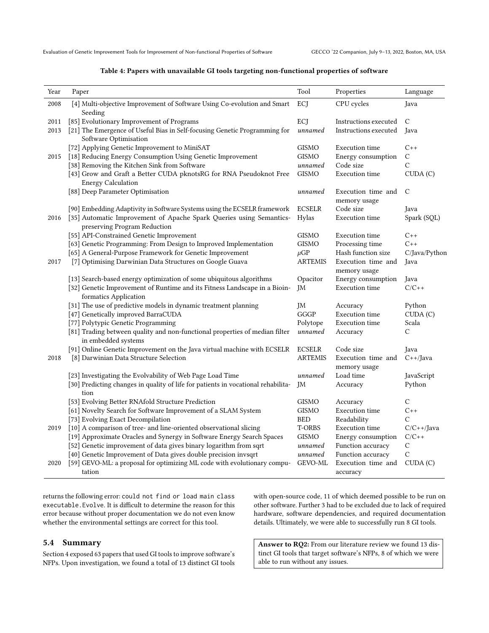<span id="page-4-0"></span>Evaluation of Genetic Improvement Tools for Improvement of Non-functional Properties of Software GECCO '22 Companion, July 9–13, 2022, Boston, MA, USA

#### Table 4: Papers with unavailable GI tools targeting non-functional properties of software

| Year | Paper                                                                                               | Tool           | Properties                         | Language      |
|------|-----------------------------------------------------------------------------------------------------|----------------|------------------------------------|---------------|
| 2008 | [4] Multi-objective Improvement of Software Using Co-evolution and Smart<br>Seeding                 | ECJ            | CPU cycles                         | Java          |
| 2011 | [85] Evolutionary Improvement of Programs                                                           | ECI            | Instructions executed              | $\mathcal{C}$ |
| 2013 | [21] The Emergence of Useful Bias in Self-focusing Genetic Programming for                          | unnamed        | Instructions executed              | Java          |
|      | Software Optimisation                                                                               |                |                                    |               |
|      | [72] Applying Genetic Improvement to MiniSAT                                                        | GISMO          | <b>Execution</b> time              | $C++$         |
| 2015 | [18] Reducing Energy Consumption Using Genetic Improvement                                          | GISMO          | Energy consumption                 | C             |
|      | [38] Removing the Kitchen Sink from Software                                                        | unnamed        | Code size                          | C             |
|      | [43] Grow and Graft a Better CUDA pknotsRG for RNA Pseudoknot Free<br><b>Energy Calculation</b>     | <b>GISMO</b>   | <b>Execution</b> time              | CUDA (C)      |
|      | [88] Deep Parameter Optimisation                                                                    | unnamed        | Execution time and<br>memory usage | $\mathcal{C}$ |
|      | [90] Embedding Adaptivity in Software Systems using the ECSELR framework                            | <b>ECSELR</b>  | Code size                          | Java          |
| 2016 | [35] Automatic Improvement of Apache Spark Queries using Semantics-<br>preserving Program Reduction | Hylas          | <b>Execution time</b>              | Spark (SQL)   |
|      | [55] API-Constrained Genetic Improvement                                                            | GISMO          | <b>Execution</b> time              | $C++$         |
|      | [63] Genetic Programming: From Design to Improved Implementation                                    | GISMO          | Processing time                    | $C++$         |
|      | [65] A General-Purpose Framework for Genetic Improvement                                            | $\mu$ GP       | Hash function size                 | C/Java/Python |
| 2017 | [7] Optimising Darwinian Data Structures on Google Guava                                            | <b>ARTEMIS</b> | Execution time and<br>memory usage | Java          |
|      | [13] Search-based energy optimization of some ubiquitous algorithms                                 | Opacitor       | Energy consumption                 | Java          |
|      | [32] Genetic Improvement of Runtime and its Fitness Landscape in a Bioin-<br>formatics Application  | JM             | <b>Execution time</b>              | $C/C++$       |
|      | [31] The use of predictive models in dynamic treatment planning                                     | JM             | Accuracy                           | Python        |
|      | [47] Genetically improved BarraCUDA                                                                 | GGGP           | <b>Execution</b> time              | CUDA (C)      |
|      | [77] Polytypic Genetic Programming                                                                  | Polytope       | <b>Execution</b> time              | Scala         |
|      | [81] Trading between quality and non-functional properties of median filter<br>in embedded systems  | unnamed        | Accuracy                           | C             |
|      | [91] Online Genetic Improvement on the Java virtual machine with ECSELR                             | <b>ECSELR</b>  | Code size                          | Java          |
| 2018 | [8] Darwinian Data Structure Selection                                                              | ARTEMIS        | Execution time and<br>memory usage | $C++/Java$    |
|      | [23] Investigating the Evolvability of Web Page Load Time                                           | unnamed        | Load time                          | JavaScript    |
|      | [30] Predicting changes in quality of life for patients in vocational rehabilita-<br>tion           | JM             | Accuracy                           | Python        |
|      | [53] Evolving Better RNAfold Structure Prediction                                                   | <b>GISMO</b>   | Accuracy                           | C             |
|      | [61] Novelty Search for Software Improvement of a SLAM System                                       | GISMO          | <b>Execution</b> time              | $C++$         |
|      | [73] Evolving Exact Decompilation                                                                   | <b>BED</b>     | Readability                        | C             |
| 2019 | [10] A comparison of tree- and line-oriented observational slicing                                  | <b>T-ORBS</b>  | <b>Execution</b> time              | $C/C++/Java$  |
|      | [19] Approximate Oracles and Synergy in Software Energy Search Spaces                               | GISMO          | Energy consumption                 | $C/C++$       |
|      | [52] Genetic improvement of data gives binary logarithm from sqrt                                   | unnamed        | Function accuracy                  | С             |
|      | [40] Genetic Improvement of Data gives double precision invsqrt                                     | unnamed        | Function accuracy                  | С             |
| 2020 | [59] GEVO-ML: a proposal for optimizing ML code with evolutionary compu-<br>tation                  | GEVO-ML        | Execution time and<br>accuracy     | CUDA(C)       |

returns the following error: could not find or load main class executable.Evolve. It is difficult to determine the reason for this error because without proper documentation we do not even know whether the environmental settings are correct for this tool.

#### 5.4 Summary

[Section 4](#page-1-3) exposed 63 papers that used GI tools to improve software's NFPs. Upon investigation, we found a total of 13 distinct GI tools

with open-source code, 11 of which deemed possible to be run on other software. Further 3 had to be excluded due to lack of required hardware, software dependencies, and required documentation details. Ultimately, we were able to successfully run 8 GI tools.

Answer to RQ2: From our literature review we found 13 distinct GI tools that target software's NFPs, 8 of which we were able to run without any issues.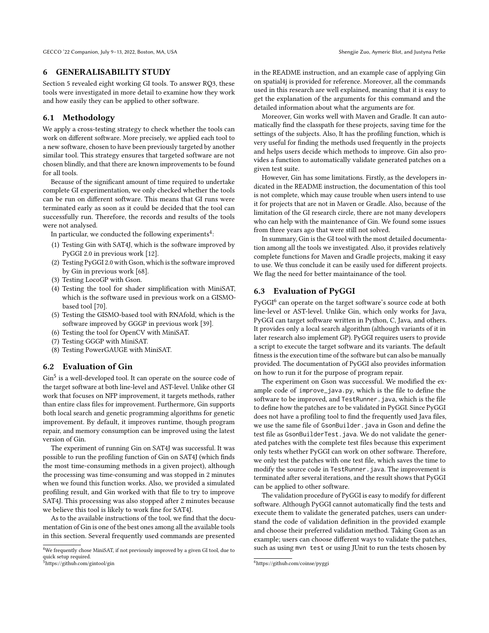#### 6 GENERALISABILITY STUDY

[Section 5](#page-2-3) revealed eight working GI tools. To answer RQ3, these tools were investigated in more detail to examine how they work and how easily they can be applied to other software.

## 6.1 Methodology

We apply a cross-testing strategy to check whether the tools can work on different software. More precisely, we applied each tool to a new software, chosen to have been previously targeted by another similar tool. This strategy ensures that targeted software are not chosen blindly, and that there are known improvements to be found for all tools.

Because of the significant amount of time required to undertake complete GI experimentation, we only checked whether the tools can be run on different software. This means that GI runs were terminated early as soon as it could be decided that the tool can successfully run. Therefore, the records and results of the tools were not analysed.

In particular, we conducted the following experiments $\rm ^4$  $\rm ^4$ :

- (1) Testing Gin with SAT4J, which is the software improved by PyGGI 2.0 in previous work [\[12\]](#page-8-13).
- (2) Testing PyGGI 2.0 with Gson, which is the software improved by Gin in previous work [\[68\]](#page-9-25).
- (3) Testing LocoGP with Gson.
- (4) Testing the tool for shader simplification with MiniSAT, which is the software used in previous work on a GISMObased tool [\[70\]](#page-9-26).
- (5) Testing the GISMO-based tool with RNAfold, which is the software improved by GGGP in previous work [\[39\]](#page-8-26).
- (6) Testing the tool for OpenCV with MiniSAT.
- (7) Testing GGGP with MiniSAT.
- (8) Testing PowerGAUGE with MiniSAT.

#### 6.2 Evaluation of Gin

Gin<sup>[5](#page-5-1)</sup> is a well-developed tool. It can operate on the source code of the target software at both line-level and AST-level. Unlike other GI work that focuses on NFP improvement, it targets methods, rather than entire class files for improvement. Furthermore, Gin supports both local search and genetic programming algorithms for genetic improvement. By default, it improves runtime, though program repair, and memory consumption can be improved using the latest version of Gin.

The experiment of running Gin on SAT4J was successful. It was possible to run the profiling function of Gin on SAT4J (which finds the most time-consuming methods in a given project), although the processing was time-consuming and was stopped in 2 minutes when we found this function works. Also, we provided a simulated profiling result, and Gin worked with that file to try to improve SAT4J. This processing was also stopped after 2 minutes because we believe this tool is likely to work fine for SAT4J.

As to the available instructions of the tool, we find that the documentation of Gin is one of the best ones among all the available tools in this section. Several frequently used commands are presented

<span id="page-5-1"></span><sup>5</sup><https://github.com/gintool/gin>

in the README instruction, and an example case of applying Gin on spatial4j is provided for reference. Moreover, all the commands used in this research are well explained, meaning that it is easy to get the explanation of the arguments for this command and the detailed information about what the arguments are for.

Moreover, Gin works well with Maven and Gradle. It can automatically find the classpath for these projects, saving time for the settings of the subjects. Also, It has the profiling function, which is very useful for finding the methods used frequently in the projects and helps users decide which methods to improve. Gin also provides a function to automatically validate generated patches on a given test suite.

However, Gin has some limitations. Firstly, as the developers indicated in the README instruction, the documentation of this tool is not complete, which may cause trouble when users intend to use it for projects that are not in Maven or Gradle. Also, because of the limitation of the GI research circle, there are not many developers who can help with the maintenance of Gin. We found some issues from three years ago that were still not solved.

In summary, Gin is the GI tool with the most detailed documentation among all the tools we investigated. Also, it provides relatively complete functions for Maven and Gradle projects, making it easy to use. We thus conclude it can be easily used for different projects. We flag the need for better maintainance of the tool.

### 6.3 Evaluation of PyGGI

 ${\rm PyGGI}^6$  ${\rm PyGGI}^6$  can operate on the target software's source code at both line-level or AST-level. Unlike Gin, which only works for Java, PyGGI can target software written in Python, C, Java, and others. It provides only a local search algorithm (although variants of it in later research also implement GP). PyGGI requires users to provide a script to execute the target software and its variants. The default fitness is the execution time of the software but can also be manually provided. The documentation of PyGGI also provides information on how to run it for the purpose of program repair.

The experiment on Gson was successful. We modified the example code of improve\_java.py, which is the file to define the software to be improved, and TestRunner.java, which is the file to define how the patches are to be validated in PyGGI. Since PyGGI does not have a profiling tool to find the frequently used Java files, we use the same file of GsonBuilder.java in Gson and define the test file as GsonBuilderTest.java. We do not validate the generated patches with the complete test files because this experiment only tests whether PyGGI can work on other software. Therefore, we only test the patches with one test file, which saves the time to modify the source code in TestRunner.java. The improvement is terminated after several iterations, and the result shows that PyGGI can be applied to other software.

The validation procedure of PyGGI is easy to modify for different software. Although PyGGI cannot automatically find the tests and execute them to validate the generated patches, users can understand the code of validation definition in the provided example and choose their preferred validation method. Taking Gson as an example; users can choose different ways to validate the patches, such as using mvn test or using JUnit to run the tests chosen by

<span id="page-5-0"></span> ${}^{4}\mathrm{We}$  frequently chose MiniSAT, if not previously improved by a given GI tool, due to quick setup required.

<span id="page-5-2"></span><sup>6</sup><https://github.com/coinse/pyggi>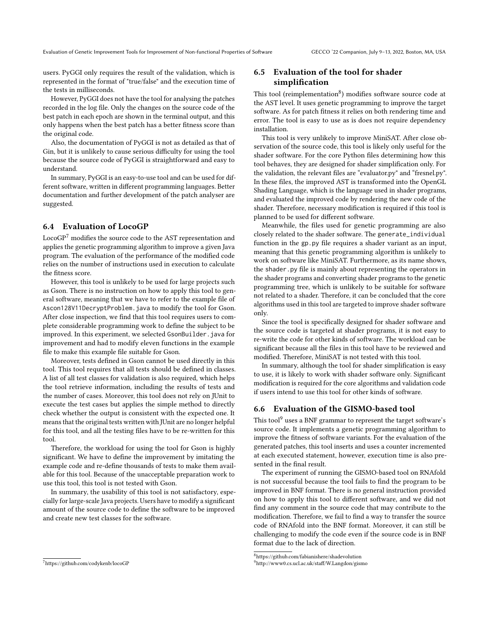users. PyGGI only requires the result of the validation, which is represented in the format of "true/false" and the execution time of the tests in milliseconds.

However, PyGGI does not have the tool for analysing the patches recorded in the log file. Only the changes on the source code of the best patch in each epoch are shown in the terminal output, and this only happens when the best patch has a better fitness score than the original code.

Also, the documentation of PyGGI is not as detailed as that of Gin, but it is unlikely to cause serious difficulty for using the tool because the source code of PyGGI is straightforward and easy to understand.

In summary, PyGGI is an easy-to-use tool and can be used for different software, written in different programming languages. Better documentation and further development of the patch analyser are suggested.

## 6.4 Evaluation of LocoGP

LocoGP<sup>[7](#page-6-0)</sup> modifies the source code to the AST representation and applies the genetic programming algorithm to improve a given Java program. The evaluation of the performance of the modified code relies on the number of instructions used in execution to calculate the fitness score.

However, this tool is unlikely to be used for large projects such as Gson. There is no instruction on how to apply this tool to general software, meaning that we have to refer to the example file of Ascon128V11DecryptProblem.java to modify the tool for Gson. After close inspection, we find that this tool requires users to complete considerable programming work to define the subject to be improved. In this experiment, we selected GsonBuilder.java for improvement and had to modify eleven functions in the example file to make this example file suitable for Gson.

Moreover, tests defined in Gson cannot be used directly in this tool. This tool requires that all tests should be defined in classes. A list of all test classes for validation is also required, which helps the tool retrieve information, including the results of tests and the number of cases. Moreover, this tool does not rely on JUnit to execute the test cases but applies the simple method to directly check whether the output is consistent with the expected one. It means that the original tests written with JUnit are no longer helpful for this tool, and all the testing files have to be re-written for this tool.

Therefore, the workload for using the tool for Gson is highly significant. We have to define the improvement by imitating the example code and re-define thousands of tests to make them available for this tool. Because of the unacceptable preparation work to use this tool, this tool is not tested with Gson.

In summary, the usability of this tool is not satisfactory, especially for large-scale Java projects. Users have to modify a significant amount of the source code to define the software to be improved and create new test classes for the software.

#### <span id="page-6-0"></span><sup>7</sup><https://github.com/codykenb/locoGP>

# 6.5 Evaluation of the tool for shader simplification

This tool (reimplementation $^8$  $^8$ ) modifies software source code at the AST level. It uses genetic programming to improve the target software. As for patch fitness it relies on both rendering time and error. The tool is easy to use as is does not require dependency installation.

This tool is very unlikely to improve MiniSAT. After close observation of the source code, this tool is likely only useful for the shader software. For the core Python files determining how this tool behaves, they are designed for shader simplification only. For the validation, the relevant files are "evaluator.py" and "fresnel.py". In these files, the improved AST is transformed into the OpenGL Shading Language, which is the language used in shader programs, and evaluated the improved code by rendering the new code of the shader. Therefore, necessary modification is required if this tool is planned to be used for different software.

Meanwhile, the files used for genetic programming are also closely related to the shader software. The generate\_individual function in the gp.py file requires a shader variant as an input, meaning that this genetic programming algorithm is unlikely to work on software like MiniSAT. Furthermore, as its name shows, the shader.py file is mainly about representing the operators in the shader programs and converting shader programs to the genetic programming tree, which is unlikely to be suitable for software not related to a shader. Therefore, it can be concluded that the core algorithms used in this tool are targeted to improve shader software only.

Since the tool is specifically designed for shader software and the source code is targeted at shader programs, it is not easy to re-write the code for other kinds of software. The workload can be significant because all the files in this tool have to be reviewed and modified. Therefore, MiniSAT is not tested with this tool.

In summary, although the tool for shader simplification is easy to use, it is likely to work with shader software only. Significant modification is required for the core algorithms and validation code if users intend to use this tool for other kinds of software.

#### 6.6 Evaluation of the GISMO-based tool

This tool<sup>[9](#page-6-2)</sup> uses a BNF grammar to represent the target software's source code. It implements a genetic programming algorithm to improve the fitness of software variants. For the evaluation of the generated patches, this tool inserts and uses a counter incremented at each executed statement, however, execution time is also presented in the final result.

The experiment of running the GISMO-based tool on RNAfold is not successful because the tool fails to find the program to be improved in BNF format. There is no general instruction provided on how to apply this tool to different software, and we did not find any comment in the source code that may contribute to the modification. Therefore, we fail to find a way to transfer the source code of RNAfold into the BNF format. Moreover, it can still be challenging to modify the code even if the source code is in BNF format due to the lack of direction.

<span id="page-6-1"></span> ${}^{8}$ <https://github.com/fabianishere/shadevolution>

<span id="page-6-2"></span><sup>9</sup><http://www0.cs.ucl.ac.uk/staff/W.Langdon/gismo>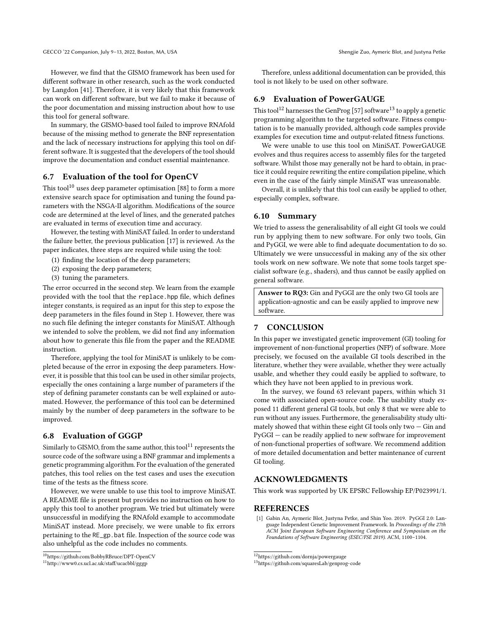However, we find that the GISMO framework has been used for different software in other research, such as the work conducted by Langdon [\[41\]](#page-8-27). Therefore, it is very likely that this framework can work on different software, but we fail to make it because of

the poor documentation and missing instruction about how to use this tool for general software.

In summary, the GISMO-based tool failed to improve RNAfold because of the missing method to generate the BNF representation and the lack of necessary instructions for applying this tool on different software. It is suggested that the developers of the tool should improve the documentation and conduct essential maintenance.

# 6.7 Evaluation of the tool for OpenCV

This tool<sup>[10](#page-7-1)</sup> uses deep parameter optimisation [\[88\]](#page-9-5) to form a more extensive search space for optimisation and tuning the found parameters with the NSGA-II algorithm. Modifications of the source code are determined at the level of lines, and the generated patches are evaluated in terms of execution time and accuracy.

However, the testing with MiniSAT failed. In order to understand the failure better, the previous publication [\[17\]](#page-8-22) is reviewed. As the paper indicates, three steps are required while using the tool:

- (1) finding the location of the deep parameters;
- (2) exposing the deep parameters;
- (3) tuning the parameters.

The error occurred in the second step. We learn from the example provided with the tool that the replace.hpp file, which defines integer constants, is required as an input for this step to expose the deep parameters in the files found in Step 1. However, there was no such file defining the integer constants for MiniSAT. Although we intended to solve the problem, we did not find any information about how to generate this file from the paper and the README instruction.

Therefore, applying the tool for MiniSAT is unlikely to be completed because of the error in exposing the deep parameters. However, it is possible that this tool can be used in other similar projects, especially the ones containing a large number of parameters if the step of defining parameter constants can be well explained or automated. However, the performance of this tool can be determined mainly by the number of deep parameters in the software to be improved.

## 6.8 Evaluation of GGGP

Similarly to GISMO, from the same author, this tool<sup>[11](#page-7-2)</sup> represents the source code of the software using a BNF grammar and implements a genetic programming algorithm. For the evaluation of the generated patches, this tool relies on the test cases and uses the execution time of the tests as the fitness score.

However, we were unable to use this tool to improve MiniSAT. A README file is present but provides no instruction on how to apply this tool to another program. We tried but ultimately were unsuccessful in modifying the RNAfold example to accommodate MiniSAT instead. More precisely, we were unable to fix errors pertaining to the RE\_gp.bat file. Inspection of the source code was also unhelpful as the code includes no comments.

Therefore, unless additional documentation can be provided, this tool is not likely to be used on other software.

# 6.9 Evaluation of PowerGAUGE

This tool<sup>[12](#page-7-3)</sup> harnesses the GenProg [\[57\]](#page-9-2) software<sup>[13](#page-7-4)</sup> to apply a genetic programming algorithm to the targeted software. Fitness computation is to be manually provided, although code samples provide examples for execution time and output-related fitness functions.

We were unable to use this tool on MiniSAT. PowerGAUGE evolves and thus requires access to assembly files for the targeted software. Whilst those may generally not be hard to obtain, in practice it could require rewriting the entire compilation pipeline, which even in the case of the fairly simple MiniSAT was unreasonable.

Overall, it is unlikely that this tool can easily be applied to other, especially complex, software.

#### 6.10 Summary

We tried to assess the generalisability of all eight GI tools we could run by applying them to new software. For only two tools, Gin and PyGGI, we were able to find adequate documentation to do so. Ultimately we were unsuccessful in making any of the six other tools work on new software. We note that some tools target specialist software (e.g., shaders), and thus cannot be easily applied on general software.

Answer to RQ3: Gin and PyGGI are the only two GI tools are application-agnostic and can be easily applied to improve new software.

# 7 CONCLUSION

In this paper we investigated genetic improvement (GI) tooling for improvement of non-functional properties (NFP) of software. More precisely, we focused on the available GI tools described in the literature, whether they were available, whether they were actually usable, and whether they could easily be applied to software, to which they have not been applied to in previous work.

In the survey, we found 63 relevant papers, within which 31 come with associated open-source code. The usability study exposed 11 different general GI tools, but only 8 that we were able to run without any issues. Furthermore, the generalisability study ultimately showed that within these eight GI tools only two  $-$  Gin and PyGGI — can be readily applied to new software for improvement of non-functional properties of software. We recommend addition of more detailed documentation and better maintenance of current GI tooling.

# ACKNOWLEDGMENTS

This work was supported by UK EPSRC Fellowship EP/P023991/1.

#### REFERENCES

<span id="page-7-0"></span>[1] Gabin An, Aymeric Blot, Justyna Petke, and Shin Yoo. 2019. PyGGI 2.0: Language Independent Genetic Improvement Framework. In Proceedings of the 27th ACM Joint European Software Engineering Conference and Symposium on the Foundations of Software Engineering (ESEC/FSE 2019). ACM, 1100–1104.

<span id="page-7-1"></span><sup>10</sup><https://github.com/BobbyRBruce/DPT-OpenCV>

<span id="page-7-2"></span><sup>11</sup><http://www0.cs.ucl.ac.uk/staff/ucacbbl/gggp>

<span id="page-7-3"></span> $\rm ^{12}https://github.com/dornja/powergauge$  $\rm ^{12}https://github.com/dornja/powergauge$ 

<span id="page-7-4"></span><sup>13</sup><https://github.com/squaresLab/genprog-code>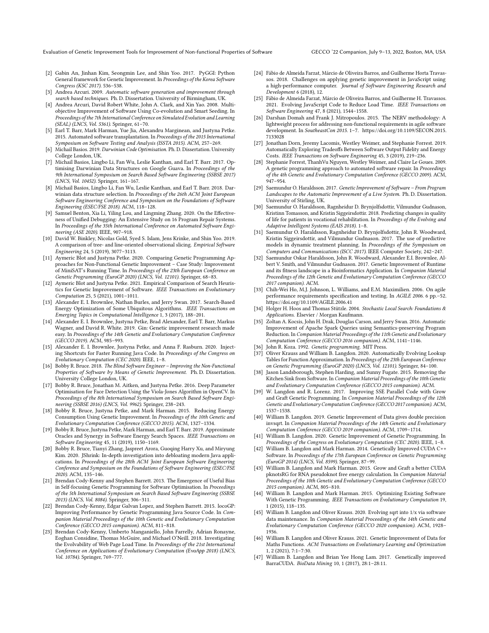Evaluation of Genetic Improvement Tools for Improvement of Non-functional Properties of Software GECCO '22 Companion, July 9–13, 2022, Boston, MA, USA

- <span id="page-8-8"></span>[2] Gabin An, Jinhan Kim, Seongmin Lee, and Shin Yoo. 2017. PyGGI: Python General framework for Genetic Improvement. In Proceedings of the Korea Software Congress (KSC 2017). 536–538.
- <span id="page-8-14"></span>[3] Andrea Arcuri. 2009. Automatic software generation and improvement through search based techniques. Ph. D. Dissertation. University of Birmingham, UK.
- <span id="page-8-29"></span>[4] Andrea Arcuri, David Robert White, John A. Clark, and Xin Yao. 2008. Multiobjective Improvement of Software Using Co-evolution and Smart Seeding. In Proceedings of the 7th International Conference on Simulated Evolution and Learning (SEAL) (LNCS, Vol. 5361). Springer, 61–70.
- <span id="page-8-9"></span>[5] Earl T. Barr, Mark Harman, Yue Jia, Alexandru Marginean, and Justyna Petke. 2015. Automated software transplantation. In Proceedings of the 2015 International Symposium on Software Testing and Analysis (ISSTA 2015). ACM, 257–269.
- <span id="page-8-15"></span>[6] Michail Basios. 2019. Darwinian Code Optimisation. Ph. D. Dissertation. University College London, UK.
- <span id="page-8-18"></span>[7] Michail Basios, Lingbo Li, Fan Wu, Leslie Kanthan, and Earl T. Barr. 2017. Optimising Darwinian Data Structures on Google Guava. In Proceedings of the 9th International Symposium on Search Based Software Engineering (SSBSE 2017) (LNCS, Vol. 10452). Springer, 161–167.
- <span id="page-8-19"></span>[8] Michail Basios, Lingbo Li, Fan Wu, Leslie Kanthan, and Earl T. Barr. 2018. Darwinian data structure selection. In Proceedings of the 26th ACM Joint European Software Engineering Conference and Symposium on the Foundations of Software Engineering (ESEC/FSE 2018). ACM, 118–128.
- <span id="page-8-2"></span>[9] Samuel Benton, Xia Li, Yiling Lou, and Lingming Zhang. 2020. On the Effectiveness of Unified Debugging: An Extensive Study on 16 Program Repair Systems. In Proceedings of the 35th International Conference on Automated Software Engineering (ASE 2020). IEEE, 907–918.
- <span id="page-8-20"></span>[10] David W. Binkley, Nicolas Gold, Syed S. Islam, Jens Krinke, and Shin Yoo. 2019. A comparison of tree- and line-oriented observational slicing. Empirical Software Engineering 24, 5 (2019), 3077–3113.
- <span id="page-8-30"></span>[11] Aymeric Blot and Justyna Petke. 2020. Comparing Genetic Programming Approaches for Non-Functional Genetic Improvement – Case Study: Improvement of MiniSAT's Running Time. In Proceedings of the 23th European Conference on Genetic Programming (EuroGP 2020) (LNCS, Vol. 12101). Springer, 68–83.
- <span id="page-8-13"></span>[12] Aymeric Blot and Justyna Petke. 2021. Empirical Comparison of Search Heuristics for Genetic Improvement of Software. IEEE Transactions on Evolutionary Computation 25, 5 (2021), 1001–1011.
- <span id="page-8-35"></span>[13] Alexander E. I. Brownlee, Nathan Burles, and Jerry Swan. 2017. Search-Based Energy Optimization of Some Ubiquitous Algorithms. IEEE Transactions on Emerging Topics in Computational Intelligence 1, 3 (2017), 188–201.
- <span id="page-8-7"></span>[14] Alexander E. I. Brownlee, Justyna Petke, Brad Alexander, Earl T. Barr, Markus Wagner, and David R. White. 2019. Gin: Genetic improvement research made easy. In Proceedings of the 14th Genetic and Evolutionary Computation Conference (GECCO 2019). ACM, 985–993.
- <span id="page-8-21"></span>[15] Alexander E. I. Brownlee, Justyna Petke, and Anna F. Rasburn. 2020. Injecting Shortcuts for Faster Running Java Code. In Proceedings of the Congress on Evolutionary Computation (CEC 2020). IEEE, 1–8.
- <span id="page-8-16"></span>[16] Bobby R. Bruce. 2018. The Blind Software Engineer – Improving the Non-Functional Properties of Software by Means of Genetic Improvement. Ph. D. Dissertation. University College London, UK.
- <span id="page-8-22"></span>[17] Bobby R. Bruce, Jonathan M. Aitken, and Justyna Petke. 2016. Deep Parameter Optimisation for Face Detection Using the Viola-Jones Algorithm in OpenCV. In Proceedings of the 8th International Symposium on Search Based Software Engineering (SSBSE 2016) (LNCS, Vol. 9962). Springer, 238–243.
- <span id="page-8-36"></span>[18] Bobby R. Bruce, Justyna Petke, and Mark Harman. 2015. Reducing Energy Consumption Using Genetic Improvement. In Proceedings of the 10th Genetic and Evolutionary Computation Conference (GECCO 2015). ACM, 1327–1334.
- <span id="page-8-0"></span>[19] Bobby R. Bruce, Justyna Petke, Mark Harman, and Earl T. Barr. 2019. Approximate Oracles and Synergy in Software Energy Search Spaces. IEEE Transactions on Software Engineering 45, 11 (2019), 1150–1169.
- <span id="page-8-1"></span>[20] Bobby R. Bruce, Tianyi Zhang, Jaspreet Arora, Guoqing Harry Xu, and Miryung Kim. 2020. JShrink: In-depth investigation into debloating modern Java applications. In Proceedings of the 28th ACM Joint European Software Engineering Conference and Symposium on the Foundations of Software Engineering (ESEC/FSE 2020). ACM, 135–146.
- <span id="page-8-31"></span>[21] Brendan Cody-Kenny and Stephen Barrett. 2013. The Emergence of Useful Bias in Self-focusing Genetic Programming for Software Optimisation. In Proceedings of the 5th International Symposium on Search Based Software Engineering (SSBSE 2013) (LNCS, Vol. 8084). Springer, 306–311.
- <span id="page-8-6"></span>[22] Brendan Cody-Kenny, Edgar Galvan Lopez, and Stephen Barrett. 2015. locoGP: Improving Performance by Genetic Programming Java Source Code. In Companion Material Proceedings of the 10th Genetic and Evolutionary Computation Conference (GECCO 2015 companion). ACM, 811–818.
- <span id="page-8-32"></span>[23] Brendan Cody-Kenny, Umberto Manganiello, John Farrelly, Adrian Ronayne, Eoghan Considine, Thomas McGuire, and Michael O'Neill. 2018. Investigating the Evolvability of Web Page Load Time. In Proceedings of the 21st International Conference on Applications of Evolutionary Computation (EvoApp 2018) (LNCS, Vol. 10784). Springer, 769–777.
- <span id="page-8-23"></span>[24] Fábio de Almeida Farzat, Márcio de Oliveira Barros, and Guilherme Horta Travassos. 2018. Challenges on applying genetic improvement in JavaScript using a high-performance computer. Journal of Software Engineering Research and Development 6 (2018), 12.
- <span id="page-8-33"></span>[25] Fábio de Almeida Farzat, Márcio de Oliveira Barros, and Guilherme H. Travassos. 2021. Evolving JavaScript Code to Reduce Load Time. IEEE Transactions on Software Engineering 47, 8 (2021), 1544–1558.
- <span id="page-8-3"></span>[26] Darshan Domah and Frank J. Mitropoulos. 2015. The NERV methodology: A lightweight process for addressing non-functional requirements in agile software development. In SoutheastCon 2015. 1-7. [https://doi.org/10.1109/SECON.2015.](https://doi.org/10.1109/SECON.2015.7133028) [7133028](https://doi.org/10.1109/SECON.2015.7133028)
- <span id="page-8-37"></span>[27] Jonathan Dorn, Jeremy Lacomis, Westley Weimer, and Stephanie Forrest. 2019. Automatically Exploring Tradeoffs Between Software Output Fidelity and Energy Costs. IEEE Transactions on Software Engineering 45, 3 (2019), 219–236.
- <span id="page-8-12"></span>[28] Stephanie Forrest, ThanhVu Nguyen, Westley Weimer, and Claire Le Goues. 2009. A genetic programming approach to automated software repair. In Proceedings of the 4th Genetic and Evolutionary Computation Conference (GECCO 2009). ACM, 947–954.
- <span id="page-8-17"></span>[29] Saemundur O. Haraldsson. 2017. Genetic Improvement of Software – From Program Landscapes to the Automatic Improvement of a Live System. Ph. D. Dissertation. University of Stirling, UK.
- <span id="page-8-38"></span>[30] Saemundur O. Haraldsson, Ragnheidur D. Brynjolfsdottir, Vilmundur Gudnason, Kristinn Tomasson, and Kristin Siggeirsdottir. 2018. Predicting changes in quality of life for patients in vocational rehabilitation. In Proceedings of the Evolving and Adaptive Intelligent Systems (EAIS 2018). 1–8.
- <span id="page-8-39"></span>[31] Saemundur O. Haraldsson, Ragnheidur D. Brynjolfsdottir, John R. Woodward, Kristin Siggeirsdottir, and Vilmundur Gudnason. 2017. The use of predictive models in dynamic treatment planning. In Proceedings of the Symposium on Computers and Communications (ISCC 2017). IEEE Computer Society, 242–247.
- <span id="page-8-24"></span>[32] Saemundur Oskar Haraldsson, John R. Woodward, Alexander E.I. Brownlee, Albert V. Smith, and Vilmundur Gudnason. 2017. Genetic Improvement of Runtime and its fitness landscape in a Bioinformatics Application. In Companion Material Proceedings of the 12th Genetic and Evolutionary Computation Conference (GECCO 2017 companion). ACM.
- <span id="page-8-4"></span>[33] Chih-Wei Ho, M.J. Johnson, L. Williams, and E.M. Maximilien. 2006. On agile performance requirements specification and testing. In AGILE 2006. 6 pp.–52. <https://doi.org/10.1109/AGILE.2006.41>
- <span id="page-8-10"></span>[34] Holger H. Hoos and Thomas Stützle. 2004. Stochastic Local Search: Foundations & Applications. Elsevier / Morgan Kaufmann.
- <span id="page-8-25"></span>[35] Zoltan A. Kocsis, John H. Drak, Douglas Carson, and Jerry Swan. 2016. Automatic Improvement of Apache Spark Queries using Semantics-preserving Program Reduction. In Companion Material Proceedings of the 11th Genetic and Evolutionary Computation Conference (GECCO 2016 companion). ACM, 1141–1146.
- <span id="page-8-11"></span>[36] John R. Koza. 1992. *Genetic programming*. MIT Press.<br>[37] Oliver Krauss and William B. Langdon. 2020. Autom
- <span id="page-8-40"></span>[37] Oliver Krauss and William B. Langdon. 2020. Automatically Evolving Lookup Tables for Function Approximation. In Proceedings of the 23th European Conference on Genetic Programming (EuroGP 2020) (LNCS, Vol. 12101). Springer, 84–100.
- <span id="page-8-34"></span>[38] Jason Landsborough, Stephen Harding, and Sunny Fugate. 2015. Removing the Kitchen Sink from Software. In Companion Material Proceedings of the 10th Genetic and Evolutionary Computation Conference (GECCO 2015 companion). ACM.
- <span id="page-8-26"></span>[39] W. Langdon and R. Lorenz. 2017. Improving SSE Parallel Code with Grow and Graft Genetic Programming. In Companion Material Proceedings of the 12th Genetic and Evolutionary Computation Conference (GECCO 2017 companion). ACM, 1537–1538.
- <span id="page-8-41"></span>[40] William B. Langdon. 2019. Genetic Improvement of Data gives double precision invsqrt. In Companion Material Proceedings of the 14th Genetic and Evolutionary Computation Conference (GECCO 2019 companion). ACM, 1709–1714.
- <span id="page-8-27"></span>[41] William B. Langdon. 2020. Genetic Improvement of Genetic Programming. In Proceedings of the Congress on Evolutionary Computation (CEC 2020). IEEE, 1–8.
- <span id="page-8-44"></span>[42] William B. Langdon and Mark Harman. 2014. Genetically Improved CUDA C++ Software. In Proceedings of the 17th European Conference on Genetic Programming (EuroGP 2014) (LNCS, Vol. 8599). Springer, 87–99.
- <span id="page-8-45"></span>[43] William B. Langdon and Mark Harman. 2015. Grow and Graft a better CUDA pknotsRG for RNA pseudoknot free energy calculation. In Companion Material Proceedings of the 10th Genetic and Evolutionary Computation Conference (GECCO 2015 companion). ACM, 805–810.
- <span id="page-8-5"></span>[44] William B. Langdon and Mark Harman. 2015. Optimizing Existing Software With Genetic Programming. IEEE Transactions on Evolutionary Computation 19, 1 (2015), 118–135.
- <span id="page-8-42"></span>[45] William B. Langdon and Oliver Krauss. 2020. Evolving sqrt into 1/x via software data maintenance. In Companion Material Proceedings of the 14th Genetic and Evolutionary Computation Conference (GECCO 2020 companion). ACM, 1928– 1936.
- <span id="page-8-43"></span>[46] William B. Langdon and Oliver Krauss. 2021. Genetic Improvement of Data for Maths Functions. ACM Transactions on Evolutionary Learning and Optimization 1, 2 (2021), 7:1–7:30.
- <span id="page-8-28"></span>[47] William B. Langdon and Brian Yee Hong Lam. 2017. Genetically improved BarraCUDA. BioData Mining 10, 1 (2017), 28:1–28:11.